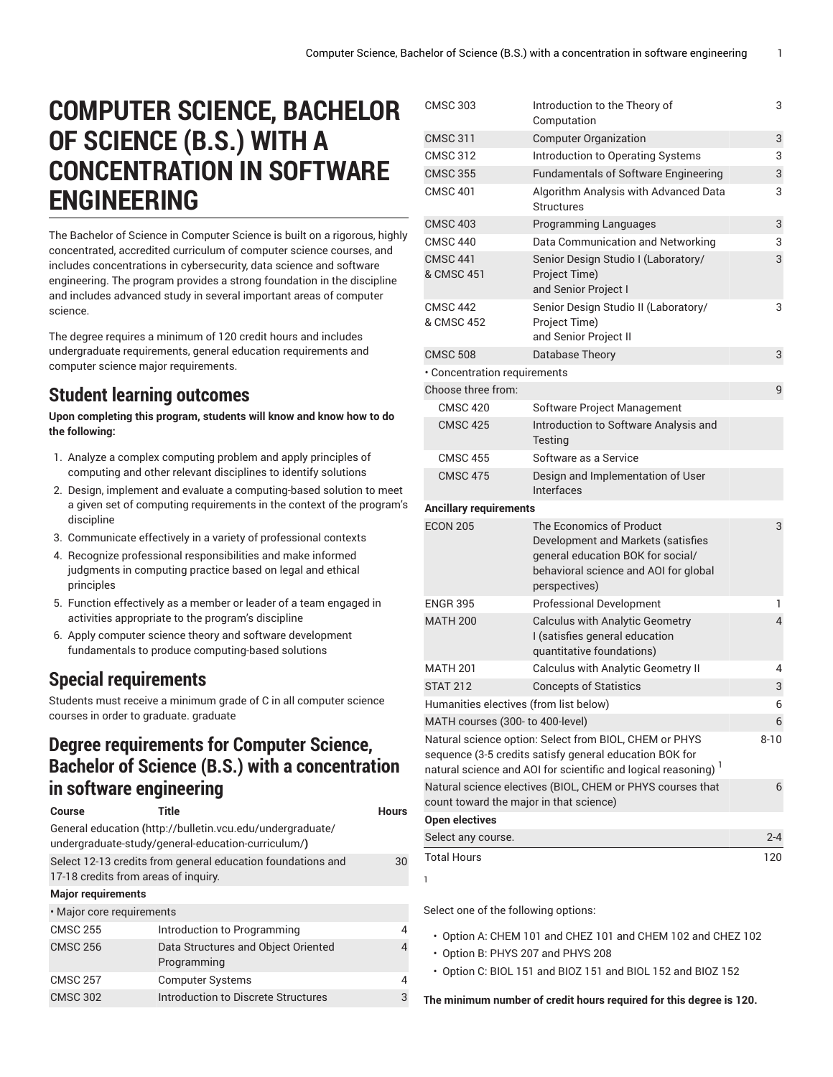# **COMPUTER SCIENCE, BACHELOR OF SCIENCE (B.S.) WITH A CONCENTRATION IN SOFTWARE ENGINEERING**

The Bachelor of Science in Computer Science is built on a rigorous, highly concentrated, accredited curriculum of computer science courses, and includes concentrations in cybersecurity, data science and software engineering. The program provides a strong foundation in the discipline and includes advanced study in several important areas of computer science.

The degree requires a minimum of 120 credit hours and includes undergraduate requirements, general education requirements and computer science major requirements.

# **Student learning outcomes**

**Upon completing this program, students will know and know how to do the following:**

- 1. Analyze a complex computing problem and apply principles of computing and other relevant disciplines to identify solutions
- 2. Design, implement and evaluate a computing-based solution to meet a given set of computing requirements in the context of the program's discipline
- 3. Communicate effectively in a variety of professional contexts
- 4. Recognize professional responsibilities and make informed judgments in computing practice based on legal and ethical principles
- 5. Function effectively as a member or leader of a team engaged in activities appropriate to the program's discipline
- 6. Apply computer science theory and software development fundamentals to produce computing-based solutions

# **Special requirements**

Students must receive a minimum grade of C in all computer science courses in order to graduate. graduate

# **Degree requirements for Computer Science, Bachelor of Science (B.S.) with a concentration in software engineering**

| Course                               | Title                                                                                                           | <b>Hours</b> |
|--------------------------------------|-----------------------------------------------------------------------------------------------------------------|--------------|
|                                      | General education (http://bulletin.vcu.edu/undergraduate/<br>undergraduate-study/general-education-curriculum/) |              |
| 17-18 credits from areas of inquiry. | Select 12-13 credits from general education foundations and                                                     | 30           |
| <b>Major requirements</b>            |                                                                                                                 |              |
| · Major core requirements            |                                                                                                                 |              |
| <b>CMSC 255</b>                      | Introduction to Programming                                                                                     | 4            |
| <b>CMSC 256</b>                      | Data Structures and Object Oriented<br>Programming                                                              | 4            |
| <b>CMSC 257</b>                      | <b>Computer Systems</b>                                                                                         | 4            |
| <b>CMSC 302</b>                      | Introduction to Discrete Structures                                                                             | 3            |

| <b>CMSC 303</b>                                                                                                                                                                                 | Introduction to the Theory of<br>Computation                                                                                                                  | 3       |
|-------------------------------------------------------------------------------------------------------------------------------------------------------------------------------------------------|---------------------------------------------------------------------------------------------------------------------------------------------------------------|---------|
| <b>CMSC 311</b>                                                                                                                                                                                 | <b>Computer Organization</b>                                                                                                                                  | 3       |
| <b>CMSC 312</b>                                                                                                                                                                                 | Introduction to Operating Systems                                                                                                                             | 3       |
| <b>CMSC 355</b>                                                                                                                                                                                 | <b>Fundamentals of Software Engineering</b>                                                                                                                   | 3       |
| <b>CMSC 401</b>                                                                                                                                                                                 | Algorithm Analysis with Advanced Data                                                                                                                         | 3       |
|                                                                                                                                                                                                 | <b>Structures</b>                                                                                                                                             |         |
| <b>CMSC 403</b>                                                                                                                                                                                 | <b>Programming Languages</b>                                                                                                                                  | 3       |
| <b>CMSC 440</b>                                                                                                                                                                                 | Data Communication and Networking                                                                                                                             | 3       |
| <b>CMSC 441</b><br>& CMSC 451                                                                                                                                                                   | Senior Design Studio I (Laboratory/<br>Project Time)<br>and Senior Project I                                                                                  | 3       |
| <b>CMSC 442</b><br>& CMSC 452                                                                                                                                                                   | Senior Design Studio II (Laboratory/<br>Project Time)<br>and Senior Project II                                                                                | 3       |
| <b>CMSC 508</b>                                                                                                                                                                                 | Database Theory                                                                                                                                               | 3       |
| · Concentration requirements                                                                                                                                                                    |                                                                                                                                                               |         |
| Choose three from:                                                                                                                                                                              |                                                                                                                                                               | 9       |
| <b>CMSC 420</b>                                                                                                                                                                                 | Software Project Management                                                                                                                                   |         |
| <b>CMSC 425</b>                                                                                                                                                                                 | Introduction to Software Analysis and<br>Testing                                                                                                              |         |
| <b>CMSC 455</b>                                                                                                                                                                                 | Software as a Service                                                                                                                                         |         |
| <b>CMSC 475</b>                                                                                                                                                                                 | Design and Implementation of User<br>Interfaces                                                                                                               |         |
| <b>Ancillary requirements</b>                                                                                                                                                                   |                                                                                                                                                               |         |
| <b>ECON 205</b>                                                                                                                                                                                 | The Economics of Product<br>Development and Markets (satisfies<br>general education BOK for social/<br>behavioral science and AOI for global<br>perspectives) | 3       |
| <b>ENGR 395</b>                                                                                                                                                                                 | <b>Professional Development</b>                                                                                                                               | 1       |
| <b>MATH 200</b>                                                                                                                                                                                 | <b>Calculus with Analytic Geometry</b><br>I (satisfies general education<br>quantitative foundations)                                                         | 4       |
| <b>MATH 201</b>                                                                                                                                                                                 | Calculus with Analytic Geometry II                                                                                                                            | 4       |
| <b>STAT 212</b>                                                                                                                                                                                 | <b>Concepts of Statistics</b>                                                                                                                                 | 3       |
| Humanities electives (from list below)                                                                                                                                                          |                                                                                                                                                               | 6       |
| MATH courses (300- to 400-level)                                                                                                                                                                |                                                                                                                                                               | 6       |
| Natural science option: Select from BIOL, CHEM or PHYS<br>sequence (3-5 credits satisfy general education BOK for<br>natural science and AOI for scientific and logical reasoning) <sup>1</sup> |                                                                                                                                                               | 8-10    |
|                                                                                                                                                                                                 | Natural science electives (BIOL, CHEM or PHYS courses that                                                                                                    | 6       |
| count toward the major in that science)                                                                                                                                                         |                                                                                                                                                               |         |
| <b>Open electives</b>                                                                                                                                                                           |                                                                                                                                                               |         |
| Select any course.                                                                                                                                                                              |                                                                                                                                                               | $2 - 4$ |
| <b>Total Hours</b>                                                                                                                                                                              |                                                                                                                                                               | 120     |

Select one of the following options:

1

- Option A: CHEM 101 and CHEZ 101 and CHEM 102 and CHEZ 102
- Option B: PHYS 207 and PHYS 208
- Option C: BIOL 151 and BIOZ 151 and BIOL 152 and BIOZ 152

**The minimum number of credit hours required for this degree is 120.**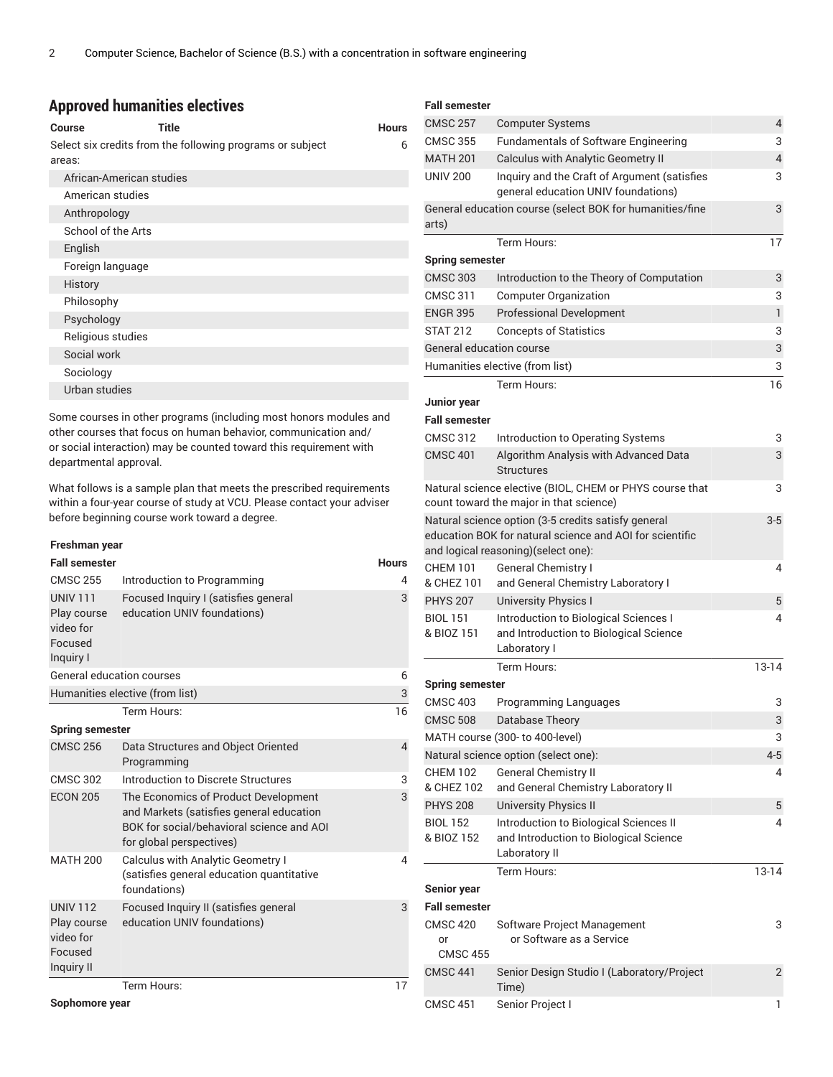# **Approved humanities electives**

| Course                   | Title                                                     | <b>Hours</b> |
|--------------------------|-----------------------------------------------------------|--------------|
| areas:                   | Select six credits from the following programs or subject | 6            |
| African-American studies |                                                           |              |
| American studies         |                                                           |              |
| Anthropology             |                                                           |              |
| School of the Arts       |                                                           |              |
| English                  |                                                           |              |
| Foreign language         |                                                           |              |
| History                  |                                                           |              |
| Philosophy               |                                                           |              |
| Psychology               |                                                           |              |
| Religious studies        |                                                           |              |
| Social work              |                                                           |              |
| Sociology                |                                                           |              |
| Urban studies            |                                                           |              |

Some courses in other programs (including most honors modules and other courses that focus on human behavior, communication and/ or social interaction) may be counted toward this requirement with departmental approval.

What follows is a sample plan that meets the prescribed requirements within a four-year course of study at VCU. Please contact your adviser before beginning course work toward a degree.

# **Freshman year**

| <b>Fall semester</b>                                                 |                                                                                                                                                           | <b>Hours</b> |
|----------------------------------------------------------------------|-----------------------------------------------------------------------------------------------------------------------------------------------------------|--------------|
| <b>CMSC 255</b>                                                      | Introduction to Programming                                                                                                                               | 4            |
| <b>UNIV 111</b><br>Play course<br>video for<br>Focused<br>Inquiry I  | Focused Inquiry I (satisfies general<br>education UNIV foundations)                                                                                       | 3            |
| General education courses                                            |                                                                                                                                                           | 6            |
|                                                                      | Humanities elective (from list)                                                                                                                           | 3            |
|                                                                      | Term Hours:                                                                                                                                               | 16           |
| <b>Spring semester</b>                                               |                                                                                                                                                           |              |
| <b>CMSC 256</b>                                                      | Data Structures and Object Oriented<br>Programming                                                                                                        | 4            |
| <b>CMSC 302</b>                                                      | Introduction to Discrete Structures                                                                                                                       | 3            |
| <b>ECON 205</b>                                                      | The Economics of Product Development<br>and Markets (satisfies general education<br>BOK for social/behavioral science and AOI<br>for global perspectives) | 3            |
| <b>MATH 200</b>                                                      | <b>Calculus with Analytic Geometry I</b><br>(satisfies general education quantitative<br>foundations)                                                     | 4            |
| <b>UNIV 112</b><br>Play course<br>video for<br>Focused<br>Inquiry II | Focused Inquiry II (satisfies general<br>education UNIV foundations)                                                                                      | 3            |
|                                                                      | Term Hours:                                                                                                                                               | 17           |

**Sophomore year**

| <b>Fall semester</b>                     |                                                                                                                                                         |           |
|------------------------------------------|---------------------------------------------------------------------------------------------------------------------------------------------------------|-----------|
| <b>CMSC 257</b>                          | <b>Computer Systems</b>                                                                                                                                 | 4         |
| <b>CMSC 355</b>                          | <b>Fundamentals of Software Engineering</b>                                                                                                             | 3         |
| <b>MATH 201</b>                          | Calculus with Analytic Geometry II                                                                                                                      | 4         |
| <b>UNIV 200</b>                          | Inquiry and the Craft of Argument (satisfies<br>general education UNIV foundations)                                                                     | 3         |
| arts)                                    | General education course (select BOK for humanities/fine                                                                                                | 3         |
|                                          | Term Hours:                                                                                                                                             | 17        |
| <b>Spring semester</b>                   |                                                                                                                                                         |           |
| <b>CMSC 303</b>                          | Introduction to the Theory of Computation                                                                                                               | 3         |
| <b>CMSC 311</b>                          | <b>Computer Organization</b>                                                                                                                            | 3         |
| <b>ENGR 395</b>                          | <b>Professional Development</b>                                                                                                                         | 1         |
| <b>STAT 212</b>                          | <b>Concepts of Statistics</b>                                                                                                                           | 3         |
| General education course                 |                                                                                                                                                         | 3         |
|                                          | Humanities elective (from list)                                                                                                                         | 3         |
|                                          | Term Hours:                                                                                                                                             | 16        |
| Junior year                              |                                                                                                                                                         |           |
| <b>Fall semester</b>                     |                                                                                                                                                         |           |
| <b>CMSC 312</b>                          | Introduction to Operating Systems                                                                                                                       | 3         |
| <b>CMSC 401</b>                          | Algorithm Analysis with Advanced Data<br><b>Structures</b>                                                                                              | 3         |
|                                          | Natural science elective (BIOL, CHEM or PHYS course that<br>count toward the major in that science)                                                     | 3         |
|                                          | Natural science option (3-5 credits satisfy general<br>education BOK for natural science and AOI for scientific<br>and logical reasoning) (select one): | $3-5$     |
| <b>CHEM 101</b>                          | General Chemistry I                                                                                                                                     | 4         |
| & CHEZ 101                               | and General Chemistry Laboratory I                                                                                                                      |           |
| <b>PHYS 207</b>                          | <b>University Physics I</b>                                                                                                                             | 5         |
| <b>BIOL 151</b><br>& BIOZ 151            | Introduction to Biological Sciences I<br>and Introduction to Biological Science<br>Laboratory I                                                         | 4         |
|                                          | Term Hours:                                                                                                                                             | $13 - 14$ |
| <b>Spring semester</b>                   |                                                                                                                                                         |           |
| <b>CMSC 403</b>                          | Programming Languages                                                                                                                                   |           |
| <b>CMSC 508</b>                          | Database Theory                                                                                                                                         | 3<br>3    |
|                                          | MATH course (300- to 400-level)                                                                                                                         | 3         |
|                                          |                                                                                                                                                         | 4-5       |
| <b>CHEM 102</b>                          | Natural science option (select one):                                                                                                                    | 4         |
| & CHEZ 102                               | General Chemistry II<br>and General Chemistry Laboratory II                                                                                             |           |
| <b>PHYS 208</b>                          | <b>University Physics II</b>                                                                                                                            | 5         |
| <b>BIOL 152</b>                          | Introduction to Biological Sciences II                                                                                                                  | 4         |
| & BIOZ 152                               | and Introduction to Biological Science<br>Laboratory II                                                                                                 |           |
|                                          | Term Hours:                                                                                                                                             | 13-14     |
| <b>Senior year</b>                       |                                                                                                                                                         |           |
| <b>Fall semester</b>                     |                                                                                                                                                         |           |
| <b>CMSC 420</b><br>or<br><b>CMSC 455</b> | Software Project Management<br>or Software as a Service                                                                                                 | 3         |
| <b>CMSC 441</b>                          | Senior Design Studio I (Laboratory/Project<br>Time)                                                                                                     | 2         |
| <b>CMSC 451</b>                          | Senior Project I                                                                                                                                        | 1         |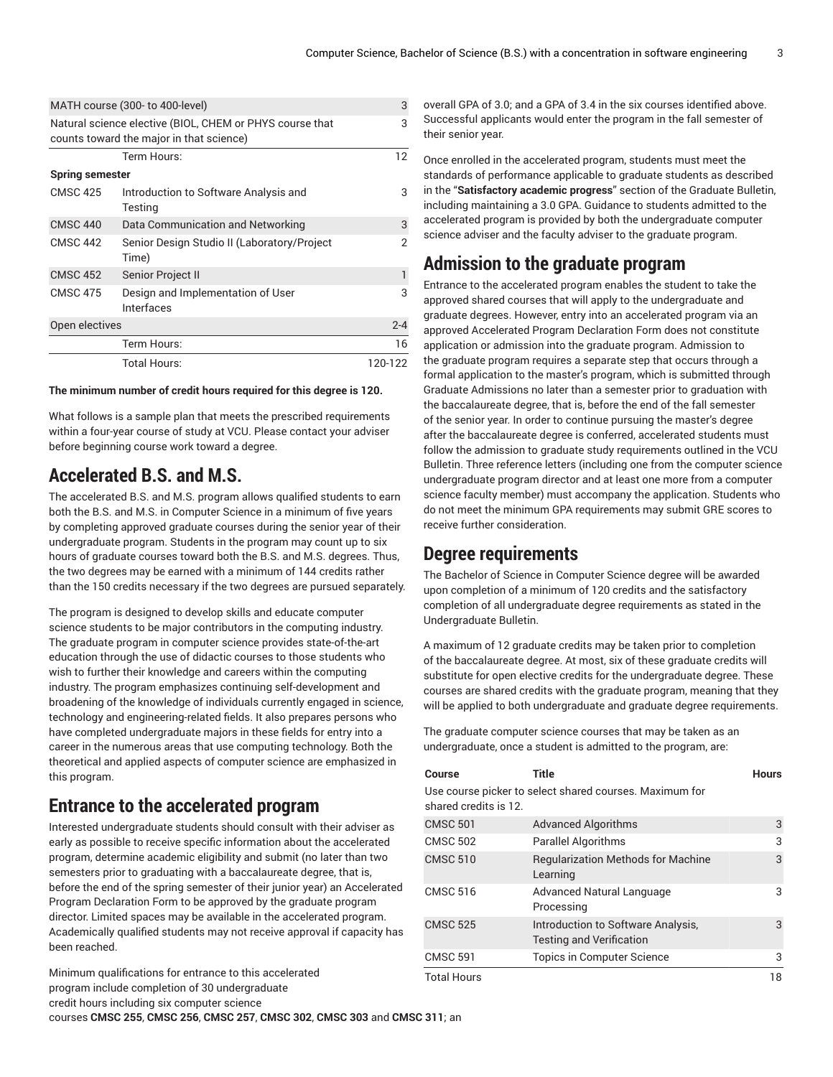| MATH course (300- to 400-level)                                                                      |                                                      | 3       |
|------------------------------------------------------------------------------------------------------|------------------------------------------------------|---------|
| Natural science elective (BIOL, CHEM or PHYS course that<br>counts toward the major in that science) |                                                      | 3       |
|                                                                                                      | Term Hours:                                          | 12      |
| <b>Spring semester</b>                                                                               |                                                      |         |
| <b>CMSC 425</b>                                                                                      | Introduction to Software Analysis and<br>Testing     | 3       |
| <b>CMSC 440</b>                                                                                      | Data Communication and Networking                    | 3       |
| <b>CMSC 442</b>                                                                                      | Senior Design Studio II (Laboratory/Project<br>Time) | 2       |
| <b>CMSC 452</b>                                                                                      | Senior Project II                                    | 1       |
| <b>CMSC 475</b>                                                                                      | Design and Implementation of User<br>Interfaces      | 3       |
| Open electives                                                                                       |                                                      | $2 - 4$ |
|                                                                                                      | Term Hours:                                          | 16      |
| Total Hours:                                                                                         |                                                      | 120-122 |

## **The minimum number of credit hours required for this degree is 120.**

What follows is a sample plan that meets the prescribed requirements within a four-year course of study at VCU. Please contact your adviser before beginning course work toward a degree.

# **Accelerated B.S. and M.S.**

The accelerated B.S. and M.S. program allows qualified students to earn both the B.S. and M.S. in Computer Science in a minimum of five years by completing approved graduate courses during the senior year of their undergraduate program. Students in the program may count up to six hours of graduate courses toward both the B.S. and M.S. degrees. Thus, the two degrees may be earned with a minimum of 144 credits rather than the 150 credits necessary if the two degrees are pursued separately.

The program is designed to develop skills and educate computer science students to be major contributors in the computing industry. The graduate program in computer science provides state-of-the-art education through the use of didactic courses to those students who wish to further their knowledge and careers within the computing industry. The program emphasizes continuing self-development and broadening of the knowledge of individuals currently engaged in science, technology and engineering-related fields. It also prepares persons who have completed undergraduate majors in these fields for entry into a career in the numerous areas that use computing technology. Both the theoretical and applied aspects of computer science are emphasized in this program.

# **Entrance to the accelerated program**

Interested undergraduate students should consult with their adviser as early as possible to receive specific information about the accelerated program, determine academic eligibility and submit (no later than two semesters prior to graduating with a baccalaureate degree, that is, before the end of the spring semester of their junior year) an Accelerated Program Declaration Form to be approved by the graduate program director. Limited spaces may be available in the accelerated program. Academically qualified students may not receive approval if capacity has been reached.

Minimum qualifications for entrance to this accelerated program include completion of 30 undergraduate credit hours including six computer science courses **CMSC 255**, **CMSC 256**, **CMSC 257**, **CMSC 302**, **CMSC 303** and **CMSC 311**; an

overall GPA of 3.0; and a GPA of 3.4 in the six courses identified above. Successful applicants would enter the program in the fall semester of their senior year.

Once enrolled in the accelerated program, students must meet the standards of performance applicable to graduate students as described in the "**Satisfactory academic progress**" section of the Graduate Bulletin, including maintaining a 3.0 GPA. Guidance to students admitted to the accelerated program is provided by both the undergraduate computer science adviser and the faculty adviser to the graduate program.

# **Admission to the graduate program**

Entrance to the accelerated program enables the student to take the approved shared courses that will apply to the undergraduate and graduate degrees. However, entry into an accelerated program via an approved Accelerated Program Declaration Form does not constitute application or admission into the graduate program. Admission to the graduate program requires a separate step that occurs through a formal application to the master's program, which is submitted through Graduate Admissions no later than a semester prior to graduation with the baccalaureate degree, that is, before the end of the fall semester of the senior year. In order to continue pursuing the master's degree after the baccalaureate degree is conferred, accelerated students must follow the admission to graduate study requirements outlined in the VCU Bulletin. Three reference letters (including one from the computer science undergraduate program director and at least one more from a computer science faculty member) must accompany the application. Students who do not meet the minimum GPA requirements may submit GRE scores to receive further consideration.

# **Degree requirements**

The Bachelor of Science in Computer Science degree will be awarded upon completion of a minimum of 120 credits and the satisfactory completion of all undergraduate degree requirements as stated in the Undergraduate Bulletin.

A maximum of 12 graduate credits may be taken prior to completion of the baccalaureate degree. At most, six of these graduate credits will substitute for open elective credits for the undergraduate degree. These courses are shared credits with the graduate program, meaning that they will be applied to both undergraduate and graduate degree requirements.

The graduate computer science courses that may be taken as an undergraduate, once a student is admitted to the program, are:

| Course                | Title                                                                 | <b>Hours</b> |
|-----------------------|-----------------------------------------------------------------------|--------------|
| shared credits is 12. | Use course picker to select shared courses. Maximum for               |              |
| <b>CMSC 501</b>       | <b>Advanced Algorithms</b>                                            | 3            |
| <b>CMSC 502</b>       | Parallel Algorithms                                                   | 3            |
| <b>CMSC 510</b>       | <b>Regularization Methods for Machine</b><br>Learning                 | 3            |
| <b>CMSC 516</b>       | Advanced Natural Language<br>Processing                               | 3            |
| <b>CMSC 525</b>       | Introduction to Software Analysis,<br><b>Testing and Verification</b> | 3            |
| <b>CMSC 591</b>       | Topics in Computer Science                                            | 3            |
| <b>Total Hours</b>    |                                                                       | 18           |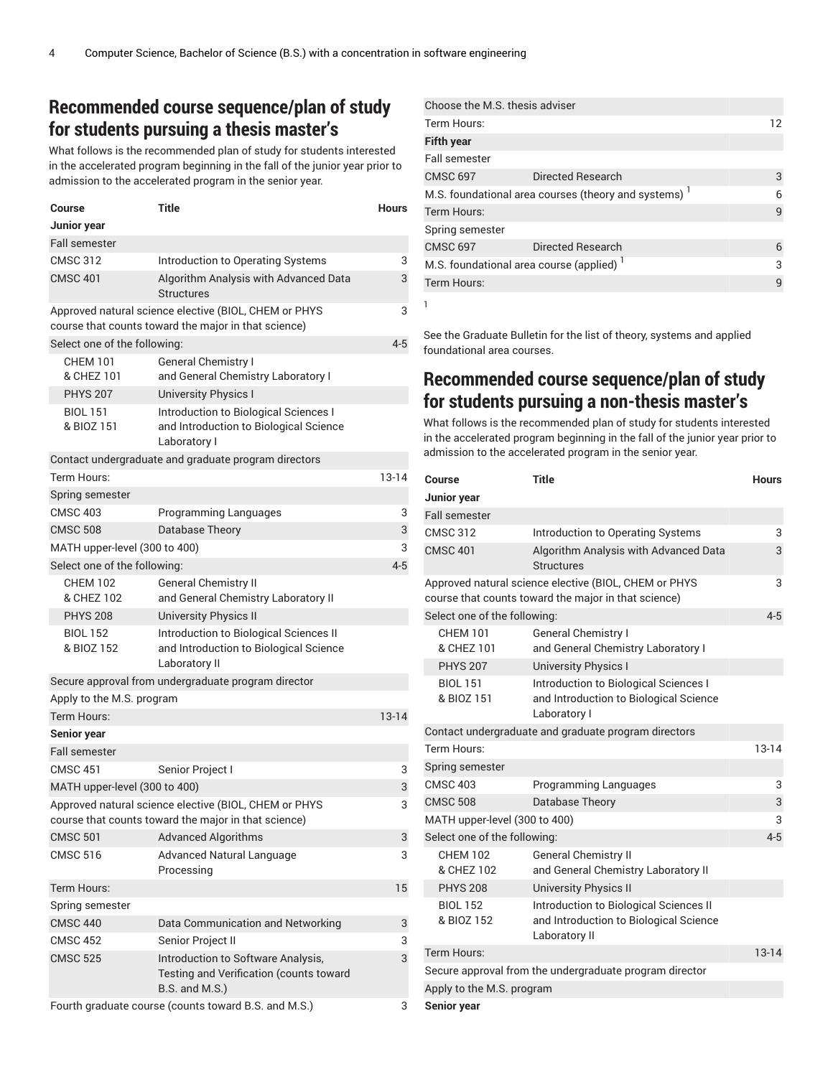# **Recommended course sequence/plan of study for students pursuing a thesis master's**

What follows is the recommended plan of study for students interested in the accelerated program beginning in the fall of the junior year prior to admission to the accelerated program in the senior year.

| Course                                                    | <b>Title</b>                                                                                                  | <b>Hours</b> |
|-----------------------------------------------------------|---------------------------------------------------------------------------------------------------------------|--------------|
| Junior year                                               |                                                                                                               |              |
| <b>Fall semester</b>                                      |                                                                                                               |              |
| <b>CMSC 312</b>                                           | Introduction to Operating Systems                                                                             | 3            |
| <b>CMSC 401</b>                                           | Algorithm Analysis with Advanced Data<br><b>Structures</b>                                                    | 3            |
|                                                           | Approved natural science elective (BIOL, CHEM or PHYS<br>course that counts toward the major in that science) | 3            |
| Select one of the following:                              |                                                                                                               | $4 - 5$      |
| <b>CHEM 101</b>                                           | <b>General Chemistry I</b>                                                                                    |              |
| & CHEZ 101                                                | and General Chemistry Laboratory I                                                                            |              |
| <b>PHYS 207</b>                                           | <b>University Physics I</b>                                                                                   |              |
| <b>BIOL 151</b><br>& BIOZ 151                             | Introduction to Biological Sciences I<br>and Introduction to Biological Science<br>Laboratory I               |              |
|                                                           | Contact undergraduate and graduate program directors                                                          |              |
| Term Hours:                                               |                                                                                                               | $13 - 14$    |
| Spring semester                                           |                                                                                                               |              |
| <b>CMSC 403</b>                                           | Programming Languages                                                                                         | 3            |
| <b>CMSC 508</b>                                           | Database Theory                                                                                               | 3            |
| MATH upper-level (300 to 400)                             |                                                                                                               | 3            |
| Select one of the following:                              |                                                                                                               | $4 - 5$      |
| <b>CHEM 102</b><br>& CHEZ 102                             | <b>General Chemistry II</b><br>and General Chemistry Laboratory II                                            |              |
| <b>PHYS 208</b>                                           | <b>University Physics II</b>                                                                                  |              |
| <b>BIOL 152</b><br>& BIOZ 152                             | Introduction to Biological Sciences II<br>and Introduction to Biological Science<br>Laboratory II             |              |
|                                                           | Secure approval from undergraduate program director                                                           |              |
| Apply to the M.S. program                                 |                                                                                                               |              |
| Term Hours:                                               |                                                                                                               | $13 - 14$    |
| <b>Senior year</b>                                        |                                                                                                               |              |
| <b>Fall semester</b>                                      |                                                                                                               |              |
| <b>CMSC 451</b>                                           | Senior Project I                                                                                              | 3            |
| MATH upper-level (300 to 400)                             |                                                                                                               | 3            |
| Approved natural science elective (BIOL, CHEM or PHYS     |                                                                                                               | 3            |
|                                                           | course that counts toward the major in that science)                                                          |              |
| <b>CMSC 501</b>                                           | <b>Advanced Algorithms</b>                                                                                    | 3            |
| <b>CMSC 516</b>                                           | Advanced Natural Language<br>Processing                                                                       | 3            |
| Term Hours:                                               |                                                                                                               | 15           |
| Spring semester                                           |                                                                                                               |              |
| <b>CMSC 440</b>                                           | Data Communication and Networking                                                                             | 3            |
| <b>CMSC 452</b>                                           | Senior Project II                                                                                             | 3            |
| <b>CMSC 525</b>                                           | Introduction to Software Analysis,<br>Testing and Verification (counts toward<br>B.S. and M.S.)               | 3            |
| Fourth graduate course (counts toward B.S. and M.S.)<br>3 |                                                                                                               |              |

| Choose the M.S. thesis adviser |                                                      |    |
|--------------------------------|------------------------------------------------------|----|
| Term Hours:                    |                                                      | 12 |
| <b>Fifth year</b>              |                                                      |    |
| Fall semester                  |                                                      |    |
| <b>CMSC 697</b>                | Directed Research                                    | 3  |
|                                | M.S. foundational area courses (theory and systems)  | 6  |
| Term Hours:                    |                                                      | 9  |
| Spring semester                |                                                      |    |
| <b>CMSC 697</b>                | Directed Research                                    | 6  |
|                                | M.S. foundational area course (applied) <sup>1</sup> | 3  |
| Term Hours:                    |                                                      | 9  |
|                                |                                                      |    |

See the Graduate Bulletin for the list of theory, systems and applied foundational area courses.

# **Recommended course sequence/plan of study for students pursuing a non-thesis master's**

What follows is the recommended plan of study for students interested in the accelerated program beginning in the fall of the junior year prior to admission to the accelerated program in the senior year.

| Course                                                  | <b>Title</b>                                                                                                  | <b>Hours</b> |
|---------------------------------------------------------|---------------------------------------------------------------------------------------------------------------|--------------|
| Junior year                                             |                                                                                                               |              |
| <b>Fall semester</b>                                    |                                                                                                               |              |
| <b>CMSC 312</b>                                         | Introduction to Operating Systems                                                                             | 3            |
| <b>CMSC 401</b>                                         | Algorithm Analysis with Advanced Data<br><b>Structures</b>                                                    | 3            |
|                                                         | Approved natural science elective (BIOL, CHEM or PHYS<br>course that counts toward the major in that science) | 3            |
| Select one of the following:                            |                                                                                                               | 4-5          |
| <b>CHEM 101</b><br>& CHEZ 101                           | General Chemistry I<br>and General Chemistry Laboratory I                                                     |              |
| <b>PHYS 207</b>                                         | <b>University Physics I</b>                                                                                   |              |
| <b>BIOL 151</b><br>& BIOZ 151                           | Introduction to Biological Sciences I<br>and Introduction to Biological Science<br>Laboratory I               |              |
|                                                         | Contact undergraduate and graduate program directors                                                          |              |
| Term Hours:                                             |                                                                                                               | $13 - 14$    |
| Spring semester                                         |                                                                                                               |              |
| <b>CMSC 403</b>                                         | <b>Programming Languages</b>                                                                                  | 3            |
| <b>CMSC 508</b>                                         | Database Theory                                                                                               | 3            |
| MATH upper-level (300 to 400)                           |                                                                                                               | 3            |
| Select one of the following:                            |                                                                                                               | $4 - 5$      |
| <b>CHEM 102</b><br>& CHEZ 102                           | <b>General Chemistry II</b><br>and General Chemistry Laboratory II                                            |              |
| <b>PHYS 208</b>                                         | <b>University Physics II</b>                                                                                  |              |
| <b>BIOL 152</b><br>& BIOZ 152                           | Introduction to Biological Sciences II<br>and Introduction to Biological Science<br>Laboratory II             |              |
| Term Hours:                                             |                                                                                                               | $13-14$      |
| Secure approval from the undergraduate program director |                                                                                                               |              |
| Apply to the M.S. program                               |                                                                                                               |              |
| <b>Senior year</b>                                      |                                                                                                               |              |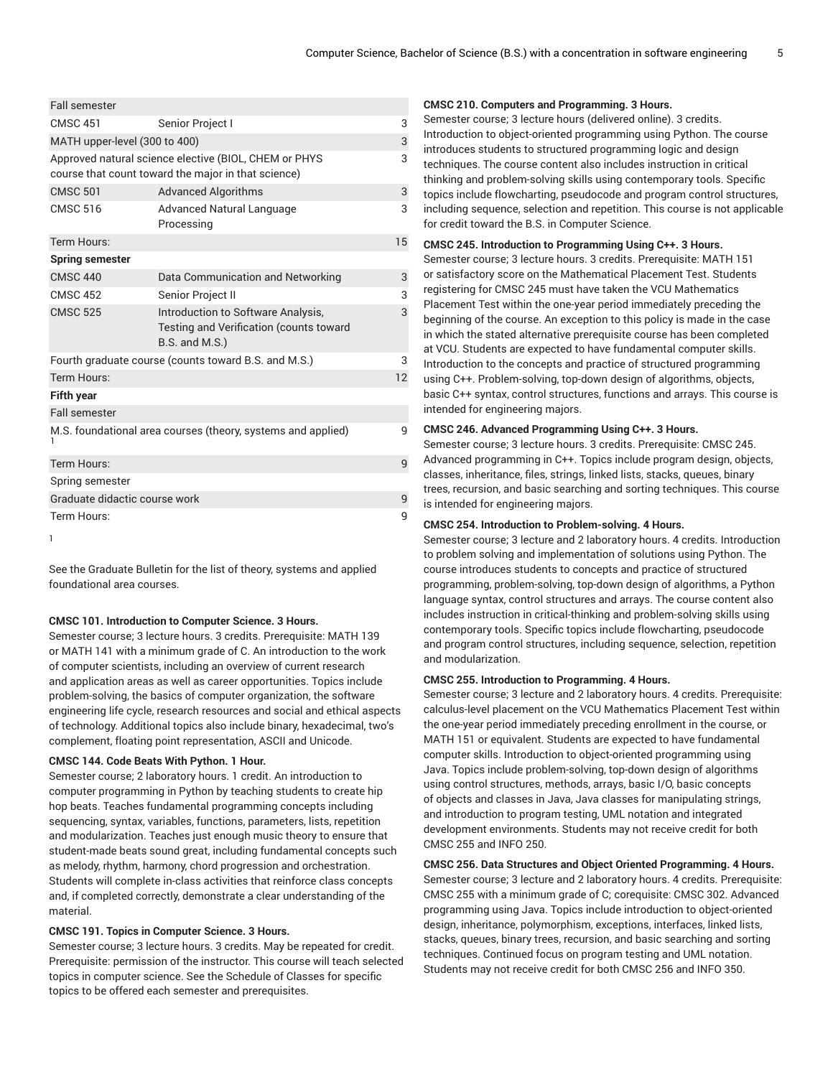Fall semester

| <b>CMSC 451</b>                                                                                              | Senior Project I                                                                                | 3  |  |
|--------------------------------------------------------------------------------------------------------------|-------------------------------------------------------------------------------------------------|----|--|
| MATH upper-level (300 to 400)                                                                                |                                                                                                 |    |  |
| Approved natural science elective (BIOL, CHEM or PHYS<br>course that count toward the major in that science) |                                                                                                 |    |  |
| <b>CMSC 501</b>                                                                                              | <b>Advanced Algorithms</b>                                                                      | 3  |  |
| <b>CMSC 516</b>                                                                                              | Advanced Natural Language<br>Processing                                                         | 3  |  |
| <b>Term Hours:</b>                                                                                           |                                                                                                 | 15 |  |
| <b>Spring semester</b>                                                                                       |                                                                                                 |    |  |
| <b>CMSC 440</b>                                                                                              | Data Communication and Networking                                                               | 3  |  |
| <b>CMSC 452</b>                                                                                              | Senior Project II                                                                               | 3  |  |
| <b>CMSC 525</b>                                                                                              | Introduction to Software Analysis,<br>Testing and Verification (counts toward<br>B.S. and M.S.) | 3  |  |
|                                                                                                              | Fourth graduate course (counts toward B.S. and M.S.)                                            | 3  |  |
| Term Hours:                                                                                                  |                                                                                                 | 12 |  |
| <b>Fifth year</b>                                                                                            |                                                                                                 |    |  |
| <b>Fall semester</b>                                                                                         |                                                                                                 |    |  |
| M.S. foundational area courses (theory, systems and applied)                                                 |                                                                                                 |    |  |
| Term Hours:                                                                                                  |                                                                                                 | 9  |  |
| Spring semester                                                                                              |                                                                                                 |    |  |
| Graduate didactic course work                                                                                |                                                                                                 |    |  |
| Term Hours:                                                                                                  |                                                                                                 |    |  |

1

See the Graduate Bulletin for the list of theory, systems and applied foundational area courses.

# **CMSC 101. Introduction to Computer Science. 3 Hours.**

Semester course; 3 lecture hours. 3 credits. Prerequisite: MATH 139 or MATH 141 with a minimum grade of C. An introduction to the work of computer scientists, including an overview of current research and application areas as well as career opportunities. Topics include problem-solving, the basics of computer organization, the software engineering life cycle, research resources and social and ethical aspects of technology. Additional topics also include binary, hexadecimal, two's complement, floating point representation, ASCII and Unicode.

# **CMSC 144. Code Beats With Python. 1 Hour.**

Semester course; 2 laboratory hours. 1 credit. An introduction to computer programming in Python by teaching students to create hip hop beats. Teaches fundamental programming concepts including sequencing, syntax, variables, functions, parameters, lists, repetition and modularization. Teaches just enough music theory to ensure that student-made beats sound great, including fundamental concepts such as melody, rhythm, harmony, chord progression and orchestration. Students will complete in-class activities that reinforce class concepts and, if completed correctly, demonstrate a clear understanding of the material.

#### **CMSC 191. Topics in Computer Science. 3 Hours.**

Semester course; 3 lecture hours. 3 credits. May be repeated for credit. Prerequisite: permission of the instructor. This course will teach selected topics in computer science. See the Schedule of Classes for specific topics to be offered each semester and prerequisites.

### **CMSC 210. Computers and Programming. 3 Hours.**

Semester course; 3 lecture hours (delivered online). 3 credits. Introduction to object-oriented programming using Python. The course introduces students to structured programming logic and design techniques. The course content also includes instruction in critical thinking and problem-solving skills using contemporary tools. Specific topics include flowcharting, pseudocode and program control structures, including sequence, selection and repetition. This course is not applicable for credit toward the B.S. in Computer Science.

### **CMSC 245. Introduction to Programming Using C++. 3 Hours.**

Semester course; 3 lecture hours. 3 credits. Prerequisite: MATH 151 or satisfactory score on the Mathematical Placement Test. Students registering for CMSC 245 must have taken the VCU Mathematics Placement Test within the one-year period immediately preceding the beginning of the course. An exception to this policy is made in the case in which the stated alternative prerequisite course has been completed at VCU. Students are expected to have fundamental computer skills. Introduction to the concepts and practice of structured programming using C++. Problem-solving, top-down design of algorithms, objects, basic C++ syntax, control structures, functions and arrays. This course is intended for engineering majors.

#### **CMSC 246. Advanced Programming Using C++. 3 Hours.**

Semester course; 3 lecture hours. 3 credits. Prerequisite: CMSC 245. Advanced programming in C++. Topics include program design, objects, classes, inheritance, files, strings, linked lists, stacks, queues, binary trees, recursion, and basic searching and sorting techniques. This course is intended for engineering majors.

### **CMSC 254. Introduction to Problem-solving. 4 Hours.**

Semester course; 3 lecture and 2 laboratory hours. 4 credits. Introduction to problem solving and implementation of solutions using Python. The course introduces students to concepts and practice of structured programming, problem-solving, top-down design of algorithms, a Python language syntax, control structures and arrays. The course content also includes instruction in critical-thinking and problem-solving skills using contemporary tools. Specific topics include flowcharting, pseudocode and program control structures, including sequence, selection, repetition and modularization.

# **CMSC 255. Introduction to Programming. 4 Hours.**

Semester course; 3 lecture and 2 laboratory hours. 4 credits. Prerequisite: calculus-level placement on the VCU Mathematics Placement Test within the one-year period immediately preceding enrollment in the course, or MATH 151 or equivalent. Students are expected to have fundamental computer skills. Introduction to object-oriented programming using Java. Topics include problem-solving, top-down design of algorithms using control structures, methods, arrays, basic I/O, basic concepts of objects and classes in Java, Java classes for manipulating strings, and introduction to program testing, UML notation and integrated development environments. Students may not receive credit for both CMSC 255 and INFO 250.

**CMSC 256. Data Structures and Object Oriented Programming. 4 Hours.** Semester course; 3 lecture and 2 laboratory hours. 4 credits. Prerequisite: CMSC 255 with a minimum grade of C; corequisite: CMSC 302. Advanced programming using Java. Topics include introduction to object-oriented design, inheritance, polymorphism, exceptions, interfaces, linked lists, stacks, queues, binary trees, recursion, and basic searching and sorting techniques. Continued focus on program testing and UML notation. Students may not receive credit for both CMSC 256 and INFO 350.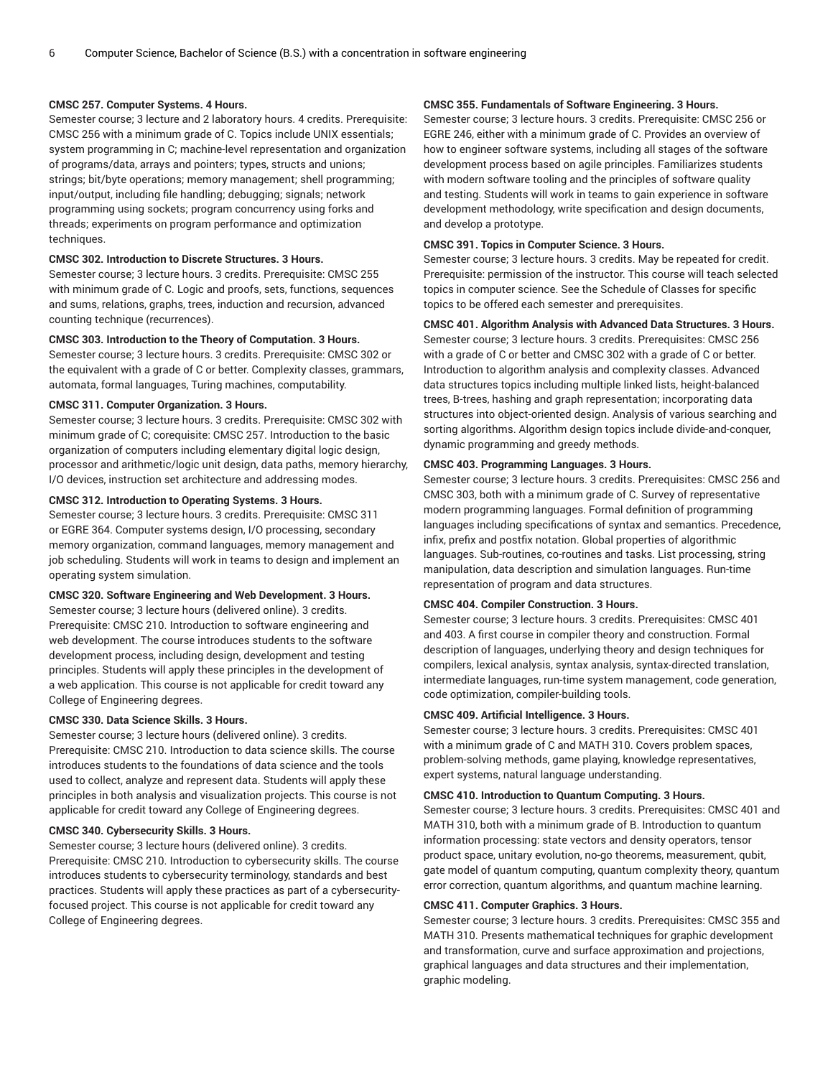# **CMSC 257. Computer Systems. 4 Hours.**

Semester course; 3 lecture and 2 laboratory hours. 4 credits. Prerequisite: CMSC 256 with a minimum grade of C. Topics include UNIX essentials; system programming in C; machine-level representation and organization of programs/data, arrays and pointers; types, structs and unions; strings; bit/byte operations; memory management; shell programming; input/output, including file handling; debugging; signals; network programming using sockets; program concurrency using forks and threads; experiments on program performance and optimization techniques.

### **CMSC 302. Introduction to Discrete Structures. 3 Hours.**

Semester course; 3 lecture hours. 3 credits. Prerequisite: CMSC 255 with minimum grade of C. Logic and proofs, sets, functions, sequences and sums, relations, graphs, trees, induction and recursion, advanced counting technique (recurrences).

### **CMSC 303. Introduction to the Theory of Computation. 3 Hours.**

Semester course; 3 lecture hours. 3 credits. Prerequisite: CMSC 302 or the equivalent with a grade of C or better. Complexity classes, grammars, automata, formal languages, Turing machines, computability.

### **CMSC 311. Computer Organization. 3 Hours.**

Semester course; 3 lecture hours. 3 credits. Prerequisite: CMSC 302 with minimum grade of C; corequisite: CMSC 257. Introduction to the basic organization of computers including elementary digital logic design, processor and arithmetic/logic unit design, data paths, memory hierarchy, I/O devices, instruction set architecture and addressing modes.

# **CMSC 312. Introduction to Operating Systems. 3 Hours.**

Semester course; 3 lecture hours. 3 credits. Prerequisite: CMSC 311 or EGRE 364. Computer systems design, I/O processing, secondary memory organization, command languages, memory management and job scheduling. Students will work in teams to design and implement an operating system simulation.

### **CMSC 320. Software Engineering and Web Development. 3 Hours.**

Semester course; 3 lecture hours (delivered online). 3 credits. Prerequisite: CMSC 210. Introduction to software engineering and web development. The course introduces students to the software development process, including design, development and testing principles. Students will apply these principles in the development of a web application. This course is not applicable for credit toward any College of Engineering degrees.

#### **CMSC 330. Data Science Skills. 3 Hours.**

Semester course; 3 lecture hours (delivered online). 3 credits. Prerequisite: CMSC 210. Introduction to data science skills. The course introduces students to the foundations of data science and the tools used to collect, analyze and represent data. Students will apply these principles in both analysis and visualization projects. This course is not applicable for credit toward any College of Engineering degrees.

# **CMSC 340. Cybersecurity Skills. 3 Hours.**

Semester course; 3 lecture hours (delivered online). 3 credits. Prerequisite: CMSC 210. Introduction to cybersecurity skills. The course introduces students to cybersecurity terminology, standards and best practices. Students will apply these practices as part of a cybersecurityfocused project. This course is not applicable for credit toward any College of Engineering degrees.

# **CMSC 355. Fundamentals of Software Engineering. 3 Hours.**

Semester course; 3 lecture hours. 3 credits. Prerequisite: CMSC 256 or EGRE 246, either with a minimum grade of C. Provides an overview of how to engineer software systems, including all stages of the software development process based on agile principles. Familiarizes students with modern software tooling and the principles of software quality and testing. Students will work in teams to gain experience in software development methodology, write specification and design documents, and develop a prototype.

# **CMSC 391. Topics in Computer Science. 3 Hours.**

Semester course; 3 lecture hours. 3 credits. May be repeated for credit. Prerequisite: permission of the instructor. This course will teach selected topics in computer science. See the Schedule of Classes for specific topics to be offered each semester and prerequisites.

#### **CMSC 401. Algorithm Analysis with Advanced Data Structures. 3 Hours.**

Semester course; 3 lecture hours. 3 credits. Prerequisites: CMSC 256 with a grade of C or better and CMSC 302 with a grade of C or better. Introduction to algorithm analysis and complexity classes. Advanced data structures topics including multiple linked lists, height-balanced trees, B-trees, hashing and graph representation; incorporating data structures into object-oriented design. Analysis of various searching and sorting algorithms. Algorithm design topics include divide-and-conquer, dynamic programming and greedy methods.

#### **CMSC 403. Programming Languages. 3 Hours.**

Semester course; 3 lecture hours. 3 credits. Prerequisites: CMSC 256 and CMSC 303, both with a minimum grade of C. Survey of representative modern programming languages. Formal definition of programming languages including specifications of syntax and semantics. Precedence, infix, prefix and postfix notation. Global properties of algorithmic languages. Sub-routines, co-routines and tasks. List processing, string manipulation, data description and simulation languages. Run-time representation of program and data structures.

# **CMSC 404. Compiler Construction. 3 Hours.**

Semester course; 3 lecture hours. 3 credits. Prerequisites: CMSC 401 and 403. A first course in compiler theory and construction. Formal description of languages, underlying theory and design techniques for compilers, lexical analysis, syntax analysis, syntax-directed translation, intermediate languages, run-time system management, code generation, code optimization, compiler-building tools.

### **CMSC 409. Artificial Intelligence. 3 Hours.**

Semester course; 3 lecture hours. 3 credits. Prerequisites: CMSC 401 with a minimum grade of C and MATH 310. Covers problem spaces, problem-solving methods, game playing, knowledge representatives, expert systems, natural language understanding.

### **CMSC 410. Introduction to Quantum Computing. 3 Hours.**

Semester course; 3 lecture hours. 3 credits. Prerequisites: CMSC 401 and MATH 310, both with a minimum grade of B. Introduction to quantum information processing: state vectors and density operators, tensor product space, unitary evolution, no-go theorems, measurement, qubit, gate model of quantum computing, quantum complexity theory, quantum error correction, quantum algorithms, and quantum machine learning.

# **CMSC 411. Computer Graphics. 3 Hours.**

Semester course; 3 lecture hours. 3 credits. Prerequisites: CMSC 355 and MATH 310. Presents mathematical techniques for graphic development and transformation, curve and surface approximation and projections, graphical languages and data structures and their implementation, graphic modeling.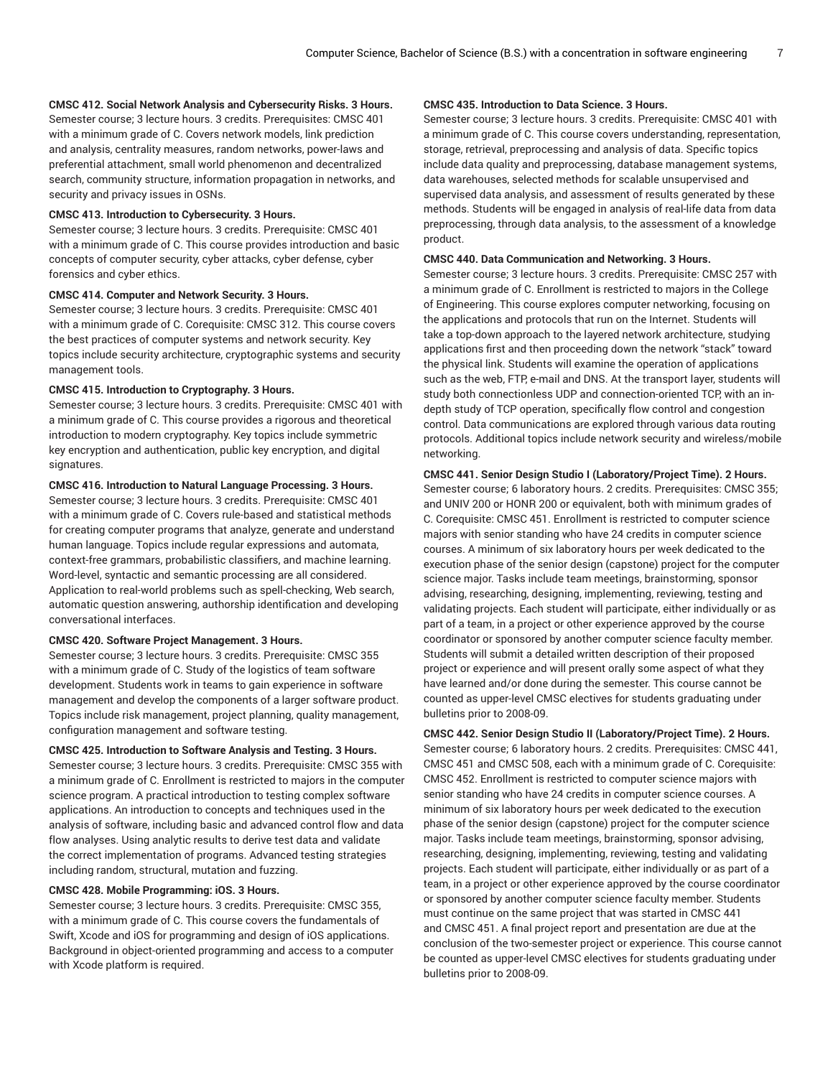# **CMSC 412. Social Network Analysis and Cybersecurity Risks. 3 Hours.**

Semester course; 3 lecture hours. 3 credits. Prerequisites: CMSC 401 with a minimum grade of C. Covers network models, link prediction and analysis, centrality measures, random networks, power-laws and preferential attachment, small world phenomenon and decentralized search, community structure, information propagation in networks, and security and privacy issues in OSNs.

## **CMSC 413. Introduction to Cybersecurity. 3 Hours.**

Semester course; 3 lecture hours. 3 credits. Prerequisite: CMSC 401 with a minimum grade of C. This course provides introduction and basic concepts of computer security, cyber attacks, cyber defense, cyber forensics and cyber ethics.

#### **CMSC 414. Computer and Network Security. 3 Hours.**

Semester course; 3 lecture hours. 3 credits. Prerequisite: CMSC 401 with a minimum grade of C. Corequisite: CMSC 312. This course covers the best practices of computer systems and network security. Key topics include security architecture, cryptographic systems and security management tools.

#### **CMSC 415. Introduction to Cryptography. 3 Hours.**

Semester course; 3 lecture hours. 3 credits. Prerequisite: CMSC 401 with a minimum grade of C. This course provides a rigorous and theoretical introduction to modern cryptography. Key topics include symmetric key encryption and authentication, public key encryption, and digital signatures.

# **CMSC 416. Introduction to Natural Language Processing. 3 Hours.**

Semester course; 3 lecture hours. 3 credits. Prerequisite: CMSC 401 with a minimum grade of C. Covers rule-based and statistical methods for creating computer programs that analyze, generate and understand human language. Topics include regular expressions and automata, context-free grammars, probabilistic classifiers, and machine learning. Word-level, syntactic and semantic processing are all considered. Application to real-world problems such as spell-checking, Web search, automatic question answering, authorship identification and developing conversational interfaces.

#### **CMSC 420. Software Project Management. 3 Hours.**

Semester course; 3 lecture hours. 3 credits. Prerequisite: CMSC 355 with a minimum grade of C. Study of the logistics of team software development. Students work in teams to gain experience in software management and develop the components of a larger software product. Topics include risk management, project planning, quality management, configuration management and software testing.

**CMSC 425. Introduction to Software Analysis and Testing. 3 Hours.**

Semester course; 3 lecture hours. 3 credits. Prerequisite: CMSC 355 with a minimum grade of C. Enrollment is restricted to majors in the computer science program. A practical introduction to testing complex software applications. An introduction to concepts and techniques used in the analysis of software, including basic and advanced control flow and data flow analyses. Using analytic results to derive test data and validate the correct implementation of programs. Advanced testing strategies including random, structural, mutation and fuzzing.

# **CMSC 428. Mobile Programming: iOS. 3 Hours.**

Semester course; 3 lecture hours. 3 credits. Prerequisite: CMSC 355, with a minimum grade of C. This course covers the fundamentals of Swift, Xcode and iOS for programming and design of iOS applications. Background in object-oriented programming and access to a computer with Xcode platform is required.

# **CMSC 435. Introduction to Data Science. 3 Hours.**

Semester course; 3 lecture hours. 3 credits. Prerequisite: CMSC 401 with a minimum grade of C. This course covers understanding, representation, storage, retrieval, preprocessing and analysis of data. Specific topics include data quality and preprocessing, database management systems, data warehouses, selected methods for scalable unsupervised and supervised data analysis, and assessment of results generated by these methods. Students will be engaged in analysis of real-life data from data preprocessing, through data analysis, to the assessment of a knowledge product.

#### **CMSC 440. Data Communication and Networking. 3 Hours.**

Semester course; 3 lecture hours. 3 credits. Prerequisite: CMSC 257 with a minimum grade of C. Enrollment is restricted to majors in the College of Engineering. This course explores computer networking, focusing on the applications and protocols that run on the Internet. Students will take a top-down approach to the layered network architecture, studying applications first and then proceeding down the network "stack" toward the physical link. Students will examine the operation of applications such as the web, FTP, e-mail and DNS. At the transport layer, students will study both connectionless UDP and connection-oriented TCP, with an indepth study of TCP operation, specifically flow control and congestion control. Data communications are explored through various data routing protocols. Additional topics include network security and wireless/mobile networking.

#### **CMSC 441. Senior Design Studio I (Laboratory/Project Time). 2 Hours.**

Semester course; 6 laboratory hours. 2 credits. Prerequisites: CMSC 355; and UNIV 200 or HONR 200 or equivalent, both with minimum grades of C. Corequisite: CMSC 451. Enrollment is restricted to computer science majors with senior standing who have 24 credits in computer science courses. A minimum of six laboratory hours per week dedicated to the execution phase of the senior design (capstone) project for the computer science major. Tasks include team meetings, brainstorming, sponsor advising, researching, designing, implementing, reviewing, testing and validating projects. Each student will participate, either individually or as part of a team, in a project or other experience approved by the course coordinator or sponsored by another computer science faculty member. Students will submit a detailed written description of their proposed project or experience and will present orally some aspect of what they have learned and/or done during the semester. This course cannot be counted as upper-level CMSC electives for students graduating under bulletins prior to 2008-09.

**CMSC 442. Senior Design Studio II (Laboratory/Project Time). 2 Hours.** Semester course; 6 laboratory hours. 2 credits. Prerequisites: CMSC 441, CMSC 451 and CMSC 508, each with a minimum grade of C. Corequisite: CMSC 452. Enrollment is restricted to computer science majors with senior standing who have 24 credits in computer science courses. A minimum of six laboratory hours per week dedicated to the execution phase of the senior design (capstone) project for the computer science major. Tasks include team meetings, brainstorming, sponsor advising, researching, designing, implementing, reviewing, testing and validating projects. Each student will participate, either individually or as part of a team, in a project or other experience approved by the course coordinator or sponsored by another computer science faculty member. Students must continue on the same project that was started in CMSC 441 and CMSC 451. A final project report and presentation are due at the conclusion of the two-semester project or experience. This course cannot be counted as upper-level CMSC electives for students graduating under bulletins prior to 2008-09.